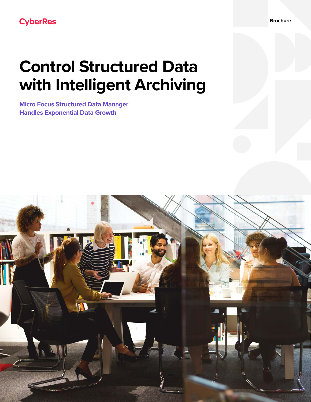# **Control Structured Data with Intelligent Archiving**

**Micro Focus Structured Data Manager Handles Exponential Data Growth**

**Brochure**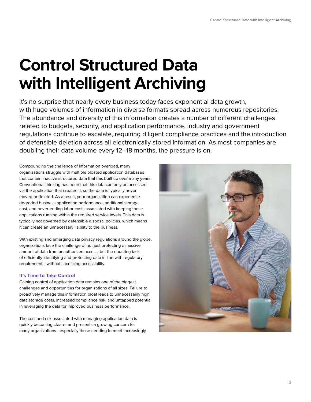# **Control Structured Data with Intelligent Archiving**

It's no surprise that nearly every business today faces exponential data growth, with huge volumes of information in diverse formats spread across numerous repositories. The abundance and diversity of this information creates a number of different challenges related to budgets, security, and application performance. Industry and government regulations continue to escalate, requiring diligent compliance practices and the introduction of defensible deletion across all electronically stored information. As most companies are doubling their data volume every 12–18 months, the pressure is on.

Compounding the challenge of information overload, many organizations struggle with multiple bloated application databases that contain inactive structured data that has built up over many years. Conventional thinking has been that this data can only be accessed via the application that created it, so the data is typically never moved or deleted. As a result, your organization can experience degraded business application performance, additional storage cost, and never-ending labor costs associated with keeping these applications running within the required service levels. This data is typically not governed by defensible disposal policies, which means it can create an unnecessary liability to the business.

With existing and emerging data privacy regulations around the globe, organizations face the challenge of not just protecting a massive amount of data from unauthorized access, but the daunting task of efficiently identifying and protecting data in line with regulatory requirements, without sacrificing accessibility.

# **It's Time to Take Control**

Gaining control of application data remains one of the biggest challenges and opportunities for organizations of all sizes. Failure to proactively manage this information bloat leads to unnecessarily high data storage costs, increased compliance risk, and untapped potential in leveraging the data for improved business performance.

The cost and risk associated with managing application data is quickly becoming clearer and presents a growing concern for many organizations—especially those needing to meet increasingly

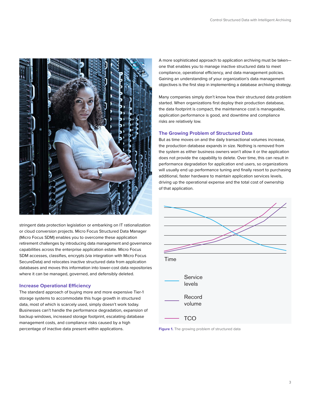

stringent data protection legislation or embarking on IT rationalization or cloud conversion projects. Micro Focus Structured Data Manager (Micro Focus SDM) enables you to overcome these application retirement challenges by introducing data management and governance capabilities across the enterprise application estate. Micro Focus SDM accesses, classifies, encrypts (via integration with Micro Focus SecureData) and relocates inactive structured data from application databases and moves this information into lower-cost data repositories where it can be managed, governed, and defensibly deleted.

## **Increase Operational Efficiency**

The standard approach of buying more and more expensive Tier-1 storage systems to accommodate this huge growth in structured data, most of which is scarcely used, simply doesn't work today. Businesses can't handle the performance degradation, expansion of backup windows, increased storage footprint, escalating database management costs, and compliance risks caused by a high percentage of inactive data present within applications.

A more sophisticated approach to application archiving must be taken one that enables you to manage inactive structured data to meet compliance, operational efficiency, and data management policies. Gaining an understanding of your organization's data management objectives is the first step in implementing a database archiving strategy.

Many companies simply don't know how their structured data problem started. When organizations first deploy their production database, the data footprint is compact, the maintenance cost is manageable, application performance is good, and downtime and compliance risks are relatively low.

## **The Growing Problem of Structured Data**

But as time moves on and the daily transactional volumes increase, the production database expands in size. Nothing is removed from the system as either business owners won't allow it or the application does not provide the capability to delete. Over time, this can result in performance degradation for application end users, so organizations will usually end up performance tuning and finally resort to purchasing additional, faster hardware to maintain application services levels, driving up the operational expense and the total cost of ownership of that application.



Figure 1. The growing problem of structured data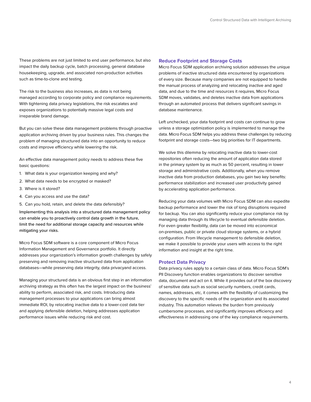These problems are not just limited to end user performance, but also impact the daily backup cycle, batch processing, general database housekeeping, upgrade, and associated non-production activities such as time-to-clone and testing.

The risk to the business also increases, as data is not being managed according to corporate policy and compliance requirements. With tightening data privacy legislations, the risk escalates and exposes organizations to potentially massive legal costs and irreparable brand damage.

But you can solve these data management problems through proactive application archiving driven by your business rules. This changes the problem of managing structured data into an opportunity to reduce costs and improve efficiency while lowering the risk.

An effective data management policy needs to address these five basic questions:

- 1. What data is your organization keeping and why?
- 2. What data needs to be encrypted or masked?
- 3. Where is it stored?
- 4. Can you access and use the data?
- 5. Can you hold, retain, and delete the data defensibly?

Implementing this analysis into a structured data management policy can enable you to proactively control data growth in the future, limit the need for additional storage capacity and resources while mitigating your risks.

Micro Focus SDM software is a core component of Micro Focus Information Management and Governance portfolio. It directly addresses your organization's information growth challenges by safely preserving and removing inactive structured data from application databases—while preserving data integrity, data privacyand access.

Managing your structured data is an obvious first step in an information archiving strategy as this often has the largest impact on the business' ability to perform, associated risk, and costs. Introducing data management processes to your applications can bring almost immediate ROI, by relocating inactive data to a lower-cost data tier and applying defensible deletion, helping addresses application performance issues while reducing risk and cost.

#### **Reduce Footprint and Storage Costs**

Micro Focus SDM application archiving solution addresses the unique problems of inactive structured data encountered by organizations of every size. Because many companies are not equipped to handle the manual process of analyzing and relocating inactive and aged data, and due to the time and resources it requires, Micro Focus SDM moves, validates, and deletes inactive data from applications through an automated process that delivers significant savings in database maintenance.

Left unchecked, your data footprint and costs can continue to grow unless a storage optimization policy is implemented to manage the data. Micro Focus SDM helps you address these challenges by reducing footprint and storage costs—two big priorities for IT departments.

We solve this dilemma by relocating inactive data to lower-cost repositories often reducing the amount of application data stored in the primary system by as much as 50 percent, resulting in lower storage and administrative costs. Additionally, when you remove inactive data from production databases, you gain two key benefits: performance stabilization and increased user productivity gained by accelerating application performance.

Reducing your data volumes with Micro Focus SDM can also expedite backup performance and lower the risk of long disruptions required for backup. You can also significantly reduce your compliance risk by managing data through its lifecycle to eventual defensible deletion. For even greater flexibility, data can be moved into economical on-premises, public or private cloud storage systems, or a hybrid configuration. From lifecycle management to defensible deletion, we make it possible to provide your users with access to the right information and insight at the right time.

### **Protect Data Privacy**

Data privacy rules apply to a certain class of data. Micro Focus SDM's PII Discovery function enables organizations to discover sensitive data, document and act on it. While it provides out of the box discovery of sensitive data such as social security numbers, credit cards, names, addresses, etc, it comes with the flexibility of customizing the discovery to the specific needs of the organization and its associated industry. This automation relieves the burden from previously cumbersome processes, and significantly improves efficiency and effectiveness in addressing one of the key compliance requirements.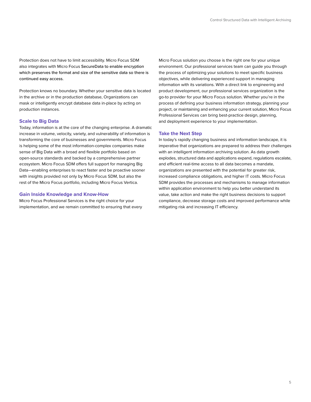Protection does not have to limit accessibility. Micro Focus SDM also integrates with Micro Focus SecureData to enable encryption which preserves the format and size of the sensitive data so there is continued easy access.

Protection knows no boundary. Whether your sensitive data is located in the archive or in the production database, Organizations can mask or intelligently encrypt database data in-place by acting on production instances.

### **Scale to Big Data**

Today, information is at the core of the changing enterprise. A dramatic increase in volume, velocity, variety, and vulnerability of information is transforming the core of businesses and governments. Micro Focus is helping some of the most information-complex companies make sense of Big Data with a broad and flexible portfolio based on open-source standards and backed by a comprehensive partner ecosystem. Micro Focus SDM offers full support for managing Big Data—enabling enterprises to react faster and be proactive sooner with insights provided not only by Micro Focus SDM, but also the rest of the Micro Focus portfolio, including Micro Focus Vertica.

#### **Gain Inside Knowledge and Know-How**

Micro Focus Professional Services is the right choice for your implementation, and we remain committed to ensuring that every Micro Focus solution you choose is the right one for your unique environment. Our professional services team can guide you through the process of optimizing your solutions to meet specific business objectives, while delivering experienced support in managing information with its variations. With a direct link to engineering and product development, our professional services organization is the go-to provider for your Micro Focus solution. Whether you're in the process of defining your business information strategy, planning your project, or maintaining and enhancing your current solution, Micro Focus Professional Services can bring best-practice design, planning, and deployment experience to your implementation.

## **Take the Next Step**

In today's rapidly changing business and information landscape, it is imperative that organizations are prepared to address their challenges with an intelligent information archiving solution. As data growth explodes, structured data and applications expand, regulations escalate, and efficient real-time access to all data becomes a mandate, organizations are presented with the potential for greater risk, increased compliance obligations, and higher IT costs. Micro Focus SDM provides the processes and mechanisms to manage information within application environment to help you better understand its value, take action and make the right business decisions to support compliance, decrease storage costs and improved performance while mitigating risk and increasing IT efficiency.